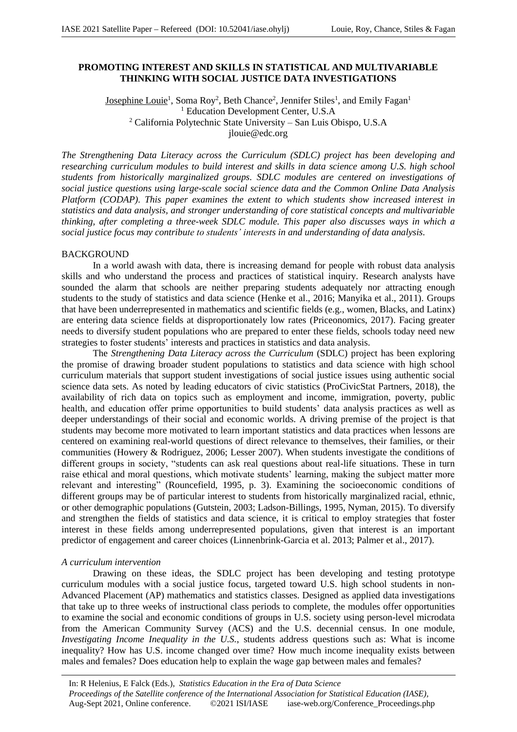## **PROMOTING INTEREST AND SKILLS IN STATISTICAL AND MULTIVARIABLE THINKING WITH SOCIAL JUSTICE DATA INVESTIGATIONS**

Josephine Louie<sup>1</sup>, Soma Roy<sup>2</sup>, Beth Chance<sup>2</sup>, Jennifer Stiles<sup>1</sup>, and Emily Fagan<sup>1</sup> <sup>1</sup> Education Development Center, U.S.A <sup>2</sup> California Polytechnic State University – San Luis Obispo, U.S.A jlouie@edc.org

*The Strengthening Data Literacy across the Curriculum (SDLC) project has been developing and researching curriculum modules to build interest and skills in data science among U.S. high school students from historically marginalized groups. SDLC modules are centered on investigations of social justice questions using large-scale social science data and the Common Online Data Analysis Platform (CODAP). This paper examines the extent to which students show increased interest in statistics and data analysis, and stronger understanding of core statistical concepts and multivariable thinking, after completing a three-week SDLC module. This paper also discusses ways in which a social justice focus may contribute to students' interests in and understanding of data analysis.*

### **BACKGROUND**

In a world awash with data, there is increasing demand for people with robust data analysis skills and who understand the process and practices of statistical inquiry. Research analysts have sounded the alarm that schools are neither preparing students adequately nor attracting enough students to the study of statistics and data science (Henke et al., 2016; Manyika et al., 2011). Groups that have been underrepresented in mathematics and scientific fields (e.g., women, Blacks, and Latinx) are entering data science fields at disproportionately low rates (Priceonomics, 2017). Facing greater needs to diversify student populations who are prepared to enter these fields, schools today need new strategies to foster students' interests and practices in statistics and data analysis.

The *Strengthening Data Literacy across the Curriculum* (SDLC) project has been exploring the promise of drawing broader student populations to statistics and data science with high school curriculum materials that support student investigations of social justice issues using authentic social science data sets. As noted by leading educators of civic statistics (ProCivicStat Partners, 2018), the availability of rich data on topics such as employment and income, immigration, poverty, public health, and education offer prime opportunities to build students' data analysis practices as well as deeper understandings of their social and economic worlds. A driving premise of the project is that students may become more motivated to learn important statistics and data practices when lessons are centered on examining real-world questions of direct relevance to themselves, their families, or their communities (Howery & Rodriguez, 2006; Lesser 2007). When students investigate the conditions of different groups in society, "students can ask real questions about real-life situations. These in turn raise ethical and moral questions, which motivate students' learning, making the subject matter more relevant and interesting" (Rouncefield, 1995, p. 3). Examining the socioeconomic conditions of different groups may be of particular interest to students from historically marginalized racial, ethnic, or other demographic populations (Gutstein, 2003; Ladson-Billings, 1995, Nyman, 2015). To diversify and strengthen the fields of statistics and data science, it is critical to employ strategies that foster interest in these fields among underrepresented populations, given that interest is an important predictor of engagement and career choices (Linnenbrink-Garcia et al. 2013; Palmer et al., 2017).

#### *A curriculum intervention*

Drawing on these ideas, the SDLC project has been developing and testing prototype curriculum modules with a social justice focus, targeted toward U.S. high school students in non-Advanced Placement (AP) mathematics and statistics classes. Designed as applied data investigations that take up to three weeks of instructional class periods to complete, the modules offer opportunities to examine the social and economic conditions of groups in U.S. society using person-level microdata from the American Community Survey (ACS) and the U.S. decennial census. In one module, *Investigating Income Inequality in the U.S.*, students address questions such as: What is income inequality? How has U.S. income changed over time? How much income inequality exists between males and females? Does education help to explain the wage gap between males and females?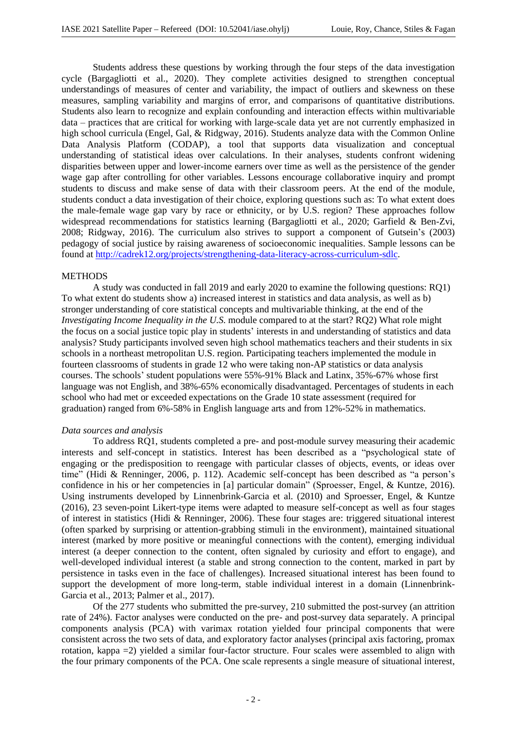Students address these questions by working through the four steps of the data investigation cycle (Bargagliotti et al., 2020). They complete activities designed to strengthen conceptual understandings of measures of center and variability, the impact of outliers and skewness on these measures, sampling variability and margins of error, and comparisons of quantitative distributions. Students also learn to recognize and explain confounding and interaction effects within multivariable data – practices that are critical for working with large-scale data yet are not currently emphasized in high school curricula (Engel, Gal, & Ridgway, 2016). Students analyze data with the Common Online Data Analysis Platform (CODAP), a tool that supports data visualization and conceptual understanding of statistical ideas over calculations. In their analyses, students confront widening disparities between upper and lower-income earners over time as well as the persistence of the gender wage gap after controlling for other variables. Lessons encourage collaborative inquiry and prompt students to discuss and make sense of data with their classroom peers. At the end of the module, students conduct a data investigation of their choice, exploring questions such as: To what extent does the male-female wage gap vary by race or ethnicity, or by U.S. region? These approaches follow widespread recommendations for statistics learning (Bargagliotti et al., 2020; Garfield & Ben-Zvi, 2008; Ridgway, 2016). The curriculum also strives to support a component of Gutsein's (2003) pedagogy of social justice by raising awareness of socioeconomic inequalities. Sample lessons can be found at http://cadrek12.org/projects/strengthening-data-literacy-across-curriculum-sdlc.

## **METHODS**

A study was conducted in fall 2019 and early 2020 to examine the following questions: RQ1) To what extent do students show a) increased interest in statistics and data analysis, as well as b) stronger understanding of core statistical concepts and multivariable thinking, at the end of the *Investigating Income Inequality in the U.S.* module compared to at the start? RQ2) What role might the focus on a social justice topic play in students' interests in and understanding of statistics and data analysis? Study participants involved seven high school mathematics teachers and their students in six schools in a northeast metropolitan U.S. region. Participating teachers implemented the module in fourteen classrooms of students in grade 12 who were taking non-AP statistics or data analysis courses. The schools' student populations were 55%-91% Black and Latinx, 35%-67% whose first language was not English, and 38%-65% economically disadvantaged. Percentages of students in each school who had met or exceeded expectations on the Grade 10 state assessment (required for graduation) ranged from 6%-58% in English language arts and from 12%-52% in mathematics.

### *Data sources and analysis*

To address RQ1, students completed a pre- and post-module survey measuring their academic interests and self-concept in statistics. Interest has been described as a "psychological state of engaging or the predisposition to reengage with particular classes of objects, events, or ideas over time" (Hidi & Renninger, 2006, p. 112). Academic self-concept has been described as "a person's confidence in his or her competencies in [a] particular domain" (Sproesser, Engel, & Kuntze, 2016). Using instruments developed by Linnenbrink-Garcia et al. (2010) and Sproesser, Engel, & Kuntze (2016), 23 seven-point Likert-type items were adapted to measure self-concept as well as four stages of interest in statistics (Hidi & Renninger, 2006). These four stages are: triggered situational interest (often sparked by surprising or attention-grabbing stimuli in the environment), maintained situational interest (marked by more positive or meaningful connections with the content), emerging individual interest (a deeper connection to the content, often signaled by curiosity and effort to engage), and well-developed individual interest (a stable and strong connection to the content, marked in part by persistence in tasks even in the face of challenges). Increased situational interest has been found to support the development of more long-term, stable individual interest in a domain (Linnenbrink-Garcia et al., 2013; Palmer et al., 2017).

Of the 277 students who submitted the pre-survey, 210 submitted the post-survey (an attrition rate of 24%). Factor analyses were conducted on the pre- and post-survey data separately. A principal components analysis (PCA) with varimax rotation yielded four principal components that were consistent across the two sets of data, and exploratory factor analyses (principal axis factoring, promax rotation, kappa =2) yielded a similar four-factor structure. Four scales were assembled to align with the four primary components of the PCA. One scale represents a single measure of situational interest,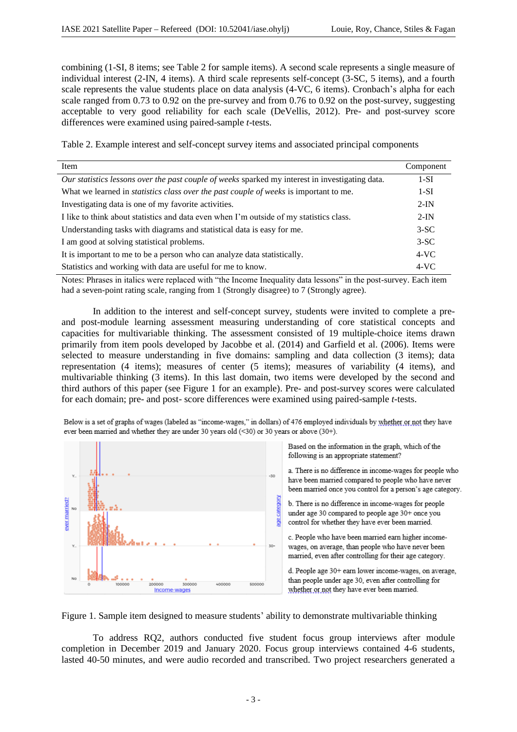combining (1-SI, 8 items; see Table 2 for sample items). A second scale represents a single measure of individual interest (2-IN, 4 items). A third scale represents self-concept (3-SC, 5 items), and a fourth scale represents the value students place on data analysis (4-VC, 6 items). Cronbach's alpha for each scale ranged from 0.73 to 0.92 on the pre-survey and from 0.76 to 0.92 on the post-survey, suggesting acceptable to very good reliability for each scale (DeVellis, 2012). Pre- and post-survey score differences were examined using paired-sample *t*-tests.

Table 2. Example interest and self-concept survey items and associated principal components

| Item                                                                                            | Component |
|-------------------------------------------------------------------------------------------------|-----------|
| Our statistics lessons over the past couple of weeks sparked my interest in investigating data. | $1-SI$    |
| What we learned in <i>statistics class over the past couple of weeks</i> is important to me.    | $1-SI$    |
| Investigating data is one of my favorite activities.                                            | $2-IN$    |
| I like to think about statistics and data even when I'm outside of my statistics class.         | $2-IN$    |
| Understanding tasks with diagrams and statistical data is easy for me.                          | $3-SC$    |
| I am good at solving statistical problems.                                                      | $3-SC$    |
| It is important to me to be a person who can analyze data statistically.                        | $4-VC$    |
| Statistics and working with data are useful for me to know.                                     | $4-VC$    |

Notes: Phrases in italics were replaced with "the Income Inequality data lessons" in the post-survey. Each item had a seven-point rating scale, ranging from 1 (Strongly disagree) to 7 (Strongly agree).

In addition to the interest and self-concept survey, students were invited to complete a preand post-module learning assessment measuring understanding of core statistical concepts and capacities for multivariable thinking. The assessment consisted of 19 multiple-choice items drawn primarily from item pools developed by Jacobbe et al. (2014) and Garfield et al. (2006). Items were selected to measure understanding in five domains: sampling and data collection (3 items); data representation (4 items); measures of center (5 items); measures of variability (4 items), and multivariable thinking (3 items). In this last domain, two items were developed by the second and third authors of this paper (see Figure 1 for an example). Pre- and post-survey scores were calculated for each domain; pre- and post- score differences were examined using paired-sample *t*-tests.

Below is a set of graphs of wages (labeled as "income-wages," in dollars) of 476 employed individuals by whether or not they have ever been married and whether they are under 30 years old  $(\leq 30)$  or 30 years or above  $(30+)$ .



Based on the information in the graph, which of the following is an appropriate statement?

a. There is no difference in income-wages for people who have been married compared to people who have never been married once you control for a person's age category.

b. There is no difference in income-wages for people under age 30 compared to people age 30+ once you control for whether they have ever been married.

c. People who have been married earn higher incomewages, on average, than people who have never been married, even after controlling for their age category.

d. People age 30+ earn lower income-wages, on average, than people under age 30, even after controlling for whether or not they have ever been married.

Figure 1. Sample item designed to measure students' ability to demonstrate multivariable thinking

To address RQ2, authors conducted five student focus group interviews after module completion in December 2019 and January 2020. Focus group interviews contained 4-6 students, lasted 40-50 minutes, and were audio recorded and transcribed. Two project researchers generated a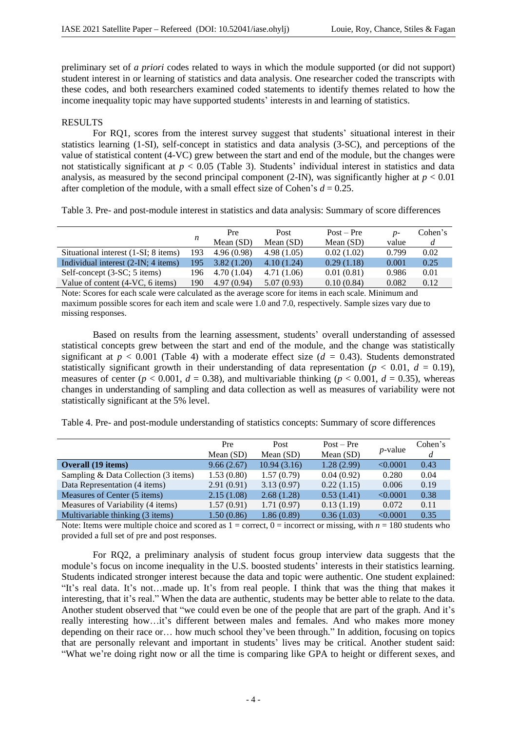preliminary set of *a priori* codes related to ways in which the module supported (or did not support) student interest in or learning of statistics and data analysis. One researcher coded the transcripts with these codes, and both researchers examined coded statements to identify themes related to how the income inequality topic may have supported students' interests in and learning of statistics.

# RESULTS

For RQ1, scores from the interest survey suggest that students' situational interest in their statistics learning (1-SI), self-concept in statistics and data analysis (3-SC), and perceptions of the value of statistical content (4-VC) grew between the start and end of the module, but the changes were not statistically significant at  $p < 0.05$  (Table 3). Students' individual interest in statistics and data analysis, as measured by the second principal component (2-IN), was significantly higher at  $p < 0.01$ after completion of the module, with a small effect size of Cohen's  $d = 0.25$ .

Table 3. Pre- and post-module interest in statistics and data analysis: Summary of score differences

|                                      |     | Pre         | Post        | $Post - Pre$ | $D-$  | Cohen's |
|--------------------------------------|-----|-------------|-------------|--------------|-------|---------|
|                                      | n   | Mean $(SD)$ | Mean $(SD)$ | Mean $(SD)$  | value |         |
| Situational interest (1-SI; 8 items) | 193 | 4.96(0.98)  | 4.98(1.05)  | 0.02(1.02)   | 0.799 | 0.02    |
| Individual interest (2-IN; 4 items)  | 195 | 3.82(1.20)  | 4.10(1.24)  | 0.29(1.18)   | 0.001 | 0.25    |
| Self-concept (3-SC; 5 items)         | 196 | 4.70(1.04)  | 4.71(1.06)  | 0.01(0.81)   | 0.986 | 0.01    |
| Value of content (4-VC, 6 items)     | 190 | 4.97(0.94)  | 5.07(0.93)  | 0.10(0.84)   | 0.082 | 0.12    |

Note: Scores for each scale were calculated as the average score for items in each scale. Minimum and maximum possible scores for each item and scale were 1.0 and 7.0, respectively. Sample sizes vary due to missing responses.

Based on results from the learning assessment, students' overall understanding of assessed statistical concepts grew between the start and end of the module, and the change was statistically significant at  $p < 0.001$  (Table 4) with a moderate effect size ( $d = 0.43$ ). Students demonstrated statistically significant growth in their understanding of data representation ( $p < 0.01$ ,  $d = 0.19$ ), measures of center ( $p < 0.001$ ,  $d = 0.38$ ), and multivariable thinking ( $p < 0.001$ ,  $d = 0.35$ ), whereas changes in understanding of sampling and data collection as well as measures of variability were not statistically significant at the 5% level.

Table 4. Pre- and post-module understanding of statistics concepts: Summary of score differences

|                                      | Pre        | Post        | $Post - Pre$ | $p$ -value | Cohen's |
|--------------------------------------|------------|-------------|--------------|------------|---------|
|                                      | Mean (SD)  | Mean $(SD)$ | Mean (SD)    |            |         |
| <b>Overall</b> (19 items)            | 9.66(2.67) | 10.94(3.16) | 1.28(2.99)   | < 0.0001   | 0.43    |
| Sampling & Data Collection (3 items) | 1.53(0.80) | 1.57(0.79)  | 0.04(0.92)   | 0.280      | 0.04    |
| Data Representation (4 items)        | 2.91(0.91) | 3.13(0.97)  | 0.22(1.15)   | 0.006      | 0.19    |
| Measures of Center (5 items)         | 2.15(1.08) | 2.68(1.28)  | 0.53(1.41)   | < 0.0001   | 0.38    |
| Measures of Variability (4 items)    | 1.57(0.91) | 1.71(0.97)  | 0.13(1.19)   | 0.072      | 0.11    |
| Multivariable thinking (3 items)     | 1.50(0.86) | 1.86(0.89)  | 0.36(1.03)   | < 0.0001   | 0.35    |

Note: Items were multiple choice and scored as  $1 =$  correct,  $0 =$  incorrect or missing, with  $n = 180$  students who provided a full set of pre and post responses.

For RQ2, a preliminary analysis of student focus group interview data suggests that the module's focus on income inequality in the U.S. boosted students' interests in their statistics learning. Students indicated stronger interest because the data and topic were authentic. One student explained: "It's real data. It's not…made up. It's from real people. I think that was the thing that makes it interesting, that it's real." When the data are authentic, students may be better able to relate to the data. Another student observed that "we could even be one of the people that are part of the graph. And it's really interesting how…it's different between males and females. And who makes more money depending on their race or… how much school they've been through." In addition, focusing on topics that are personally relevant and important in students' lives may be critical. Another student said: "What we're doing right now or all the time is comparing like GPA to height or different sexes, and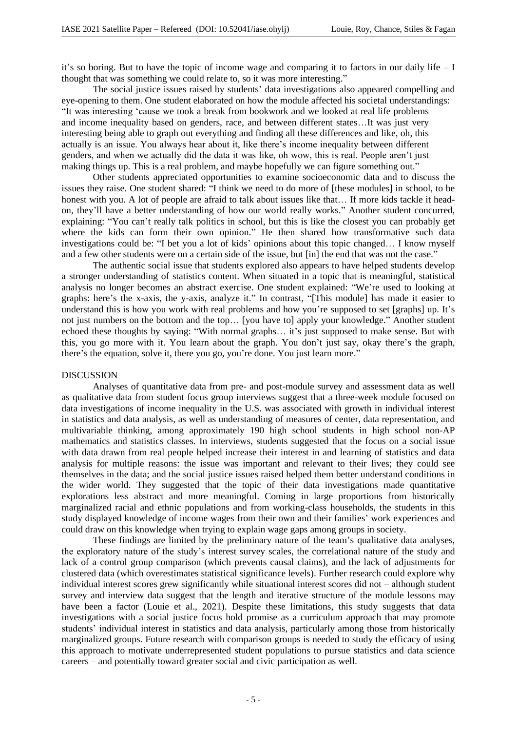it's so boring. But to have the topic of income wage and comparing it to factors in our daily life – I thought that was something we could relate to, so it was more interesting."

The social justice issues raised by students' data investigations also appeared compelling and eye-opening to them. One student elaborated on how the module affected his societal understandings: "It was interesting 'cause we took a break from bookwork and we looked at real life problems and income inequality based on genders, race, and between different states…It was just very interesting being able to graph out everything and finding all these differences and like, oh, this actually is an issue. You always hear about it, like there's income inequality between different genders, and when we actually did the data it was like, oh wow, this is real. People aren't just making things up. This is a real problem, and maybe hopefully we can figure something out."

Other students appreciated opportunities to examine socioeconomic data and to discuss the issues they raise. One student shared: "I think we need to do more of [these modules] in school, to be honest with you. A lot of people are afraid to talk about issues like that... If more kids tackle it headon, they'll have a better understanding of how our world really works." Another student concurred, explaining: "You can't really talk politics in school, but this is like the closest you can probably get where the kids can form their own opinion." He then shared how transformative such data investigations could be: "I bet you a lot of kids' opinions about this topic changed… I know myself and a few other students were on a certain side of the issue, but [in] the end that was not the case."

The authentic social issue that students explored also appears to have helped students develop a stronger understanding of statistics content. When situated in a topic that is meaningful, statistical analysis no longer becomes an abstract exercise. One student explained: "We're used to looking at graphs: here's the x-axis, the y-axis, analyze it." In contrast, "[This module] has made it easier to understand this is how you work with real problems and how you're supposed to set [graphs] up. It's not just numbers on the bottom and the top… [you have to] apply your knowledge." Another student echoed these thoughts by saying: "With normal graphs… it's just supposed to make sense. But with this, you go more with it. You learn about the graph. You don't just say, okay there's the graph, there's the equation, solve it, there you go, you're done. You just learn more."

## DISCUSSION

Analyses of quantitative data from pre- and post-module survey and assessment data as well as qualitative data from student focus group interviews suggest that a three-week module focused on data investigations of income inequality in the U.S. was associated with growth in individual interest in statistics and data analysis, as well as understanding of measures of center, data representation, and multivariable thinking, among approximately 190 high school students in high school non-AP mathematics and statistics classes. In interviews, students suggested that the focus on a social issue with data drawn from real people helped increase their interest in and learning of statistics and data analysis for multiple reasons: the issue was important and relevant to their lives; they could see themselves in the data; and the social justice issues raised helped them better understand conditions in the wider world. They suggested that the topic of their data investigations made quantitative explorations less abstract and more meaningful. Coming in large proportions from historically marginalized racial and ethnic populations and from working-class households, the students in this study displayed knowledge of income wages from their own and their families' work experiences and could draw on this knowledge when trying to explain wage gaps among groups in society.

These findings are limited by the preliminary nature of the team's qualitative data analyses, the exploratory nature of the study's interest survey scales, the correlational nature of the study and lack of a control group comparison (which prevents causal claims), and the lack of adjustments for clustered data (which overestimates statistical significance levels). Further research could explore why individual interest scores grew significantly while situational interest scores did not – although student survey and interview data suggest that the length and iterative structure of the module lessons may have been a factor (Louie et al., 2021). Despite these limitations, this study suggests that data investigations with a social justice focus hold promise as a curriculum approach that may promote students' individual interest in statistics and data analysis, particularly among those from historically marginalized groups. Future research with comparison groups is needed to study the efficacy of using this approach to motivate underrepresented student populations to pursue statistics and data science careers – and potentially toward greater social and civic participation as well.